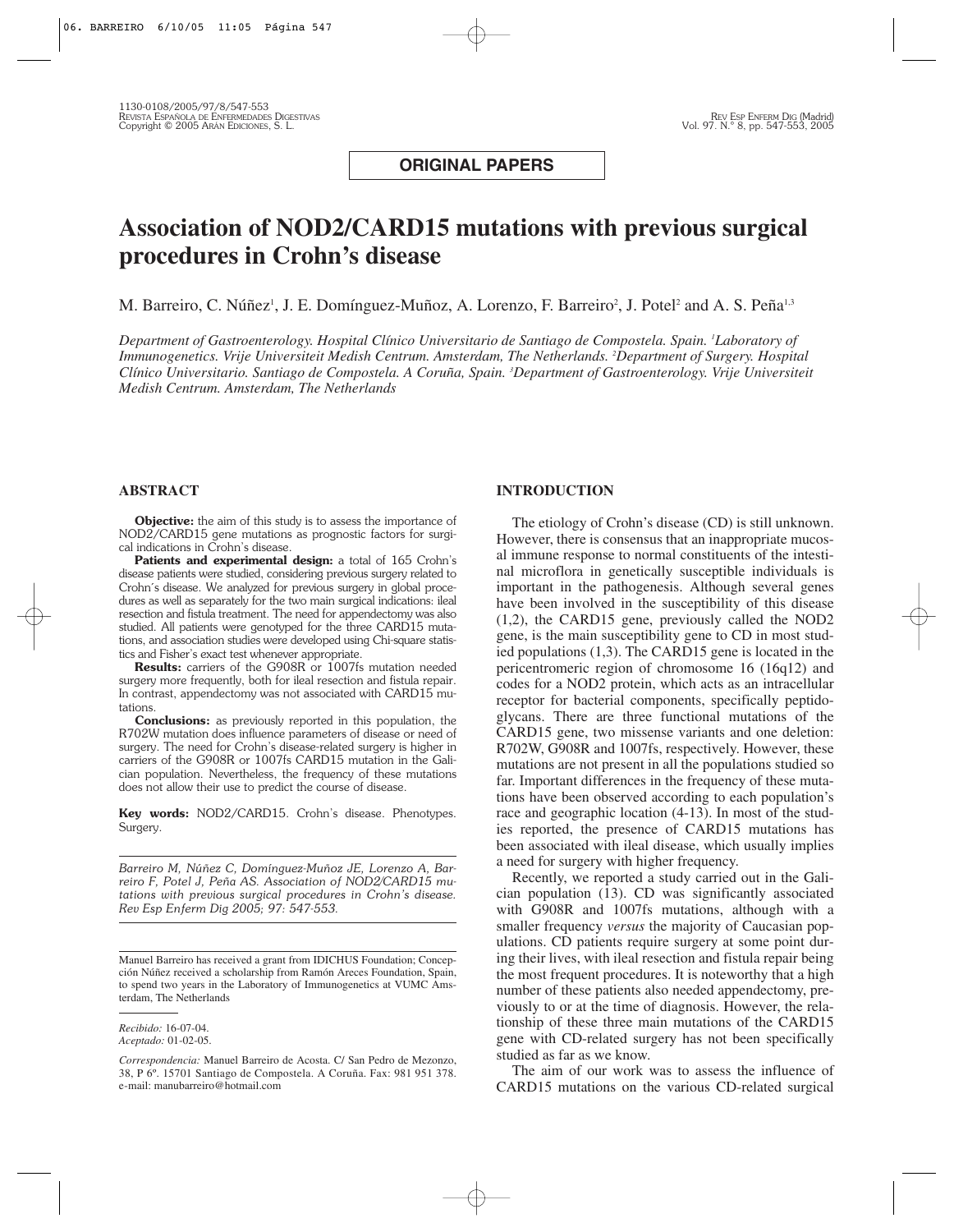**ORIGINAL PAPERS**

# **Association of NOD2/CARD15 mutations with previous surgical procedures in Crohn's disease**

M. Barreiro, C. Núñez<sup>i</sup>, J. E. Domínguez-Muñoz, A. Lorenzo, F. Barreiro<sup>2</sup>, J. Potel<sup>2</sup> and A. S. Peña<sup>i,3</sup>

*Department of Gastroenterology. Hospital Clínico Universitario de Santiago de Compostela. Spain. 1 Laboratory of Immunogenetics. Vrije Universiteit Medish Centrum. Amsterdam, The Netherlands. 2 Department of Surgery. Hospital Clínico Universitario. Santiago de Compostela. A Coruña, Spain. 3 Department of Gastroenterology. Vrije Universiteit Medish Centrum. Amsterdam, The Netherlands*

#### **ABSTRACT**

**Objective:** the aim of this study is to assess the importance of NOD2/CARD15 gene mutations as prognostic factors for surgical indications in Crohn's disease.

Patients and experimental design: a total of 165 Crohn's disease patients were studied, considering previous surgery related to Crohn´s disease. We analyzed for previous surgery in global procedures as well as separately for the two main surgical indications: ileal resection and fistula treatment. The need for appendectomy was also studied. All patients were genotyped for the three CARD15 mutations, and association studies were developed using Chi-square statistics and Fisher's exact test whenever appropriate.

**Results:** carriers of the G908R or 1007fs mutation needed surgery more frequently, both for ileal resection and fistula repair. In contrast, appendectomy was not associated with CARD15 mutations.

**Conclusions:** as previously reported in this population, the R702W mutation does influence parameters of disease or need of surgery. The need for Crohn's disease-related surgery is higher in carriers of the G908R or 1007fs CARD15 mutation in the Galician population. Nevertheless, the frequency of these mutations does not allow their use to predict the course of disease.

**Key words:** NOD2/CARD15. Crohn's disease. Phenotypes. Surgery.

*Barreiro M, Núñez C, Domínguez-Muñoz JE, Lorenzo A, Barreiro F, Potel J, Peña AS. Association of NOD2/CARD15 mutations with previous surgical procedures in Crohn's disease. Rev Esp Enferm Dig 2005; 97: 547-553.*

#### **INTRODUCTION**

The etiology of Crohn's disease (CD) is still unknown. However, there is consensus that an inappropriate mucosal immune response to normal constituents of the intestinal microflora in genetically susceptible individuals is important in the pathogenesis. Although several genes have been involved in the susceptibility of this disease (1,2), the CARD15 gene, previously called the NOD2 gene, is the main susceptibility gene to CD in most studied populations (1,3). The CARD15 gene is located in the pericentromeric region of chromosome 16 (16q12) and codes for a NOD2 protein, which acts as an intracellular receptor for bacterial components, specifically peptidoglycans. There are three functional mutations of the CARD15 gene, two missense variants and one deletion: R702W, G908R and 1007fs, respectively. However, these mutations are not present in all the populations studied so far. Important differences in the frequency of these mutations have been observed according to each population's race and geographic location (4-13). In most of the studies reported, the presence of CARD15 mutations has been associated with ileal disease, which usually implies a need for surgery with higher frequency.

Recently, we reported a study carried out in the Galician population (13). CD was significantly associated with G908R and 1007fs mutations, although with a smaller frequency *versus* the majority of Caucasian populations. CD patients require surgery at some point during their lives, with ileal resection and fistula repair being the most frequent procedures. It is noteworthy that a high number of these patients also needed appendectomy, previously to or at the time of diagnosis. However, the relationship of these three main mutations of the CARD15 gene with CD-related surgery has not been specifically studied as far as we know.

The aim of our work was to assess the influence of CARD15 mutations on the various CD-related surgical

Manuel Barreiro has received a grant from IDICHUS Foundation; Concepción Núñez received a scholarship from Ramón Areces Foundation, Spain, to spend two years in the Laboratory of Immunogenetics at VUMC Amsterdam, The Netherlands

*Recibido:* 16-07-04. *Aceptado:* 01-02-05.

*Correspondencia:* Manuel Barreiro de Acosta. C/ San Pedro de Mezonzo, 38, P 6º. 15701 Santiago de Compostela. A Coruña. Fax: 981 951 378. e-mail: manubarreiro@hotmail.com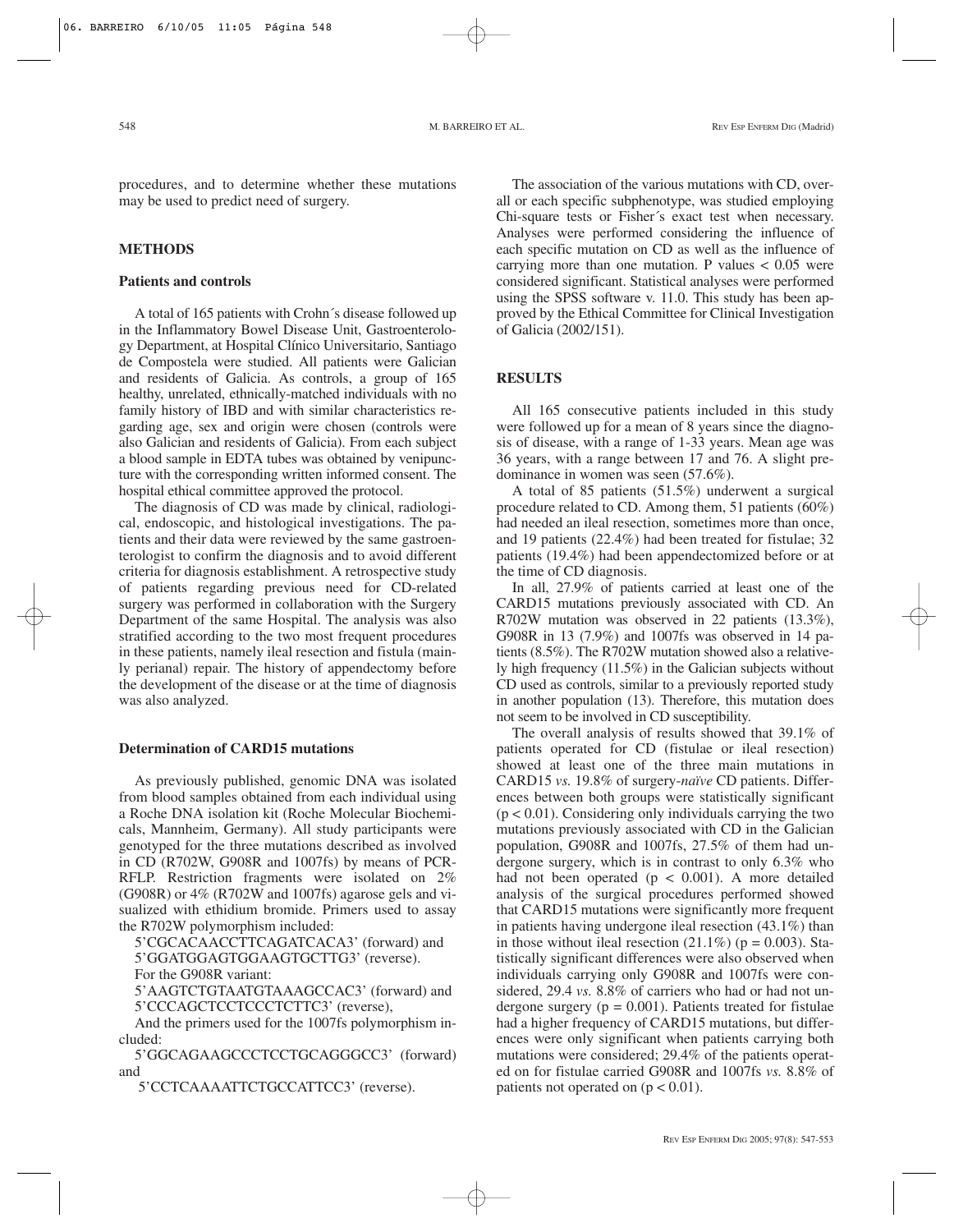procedures, and to determine whether these mutations may be used to predict need of surgery.

# **METHODS**

## **Patients and controls**

A total of 165 patients with Crohn´s disease followed up in the Inflammatory Bowel Disease Unit, Gastroenterology Department, at Hospital Clínico Universitario, Santiago de Compostela were studied. All patients were Galician and residents of Galicia. As controls, a group of 165 healthy, unrelated, ethnically-matched individuals with no family history of IBD and with similar characteristics regarding age, sex and origin were chosen (controls were also Galician and residents of Galicia). From each subject a blood sample in EDTA tubes was obtained by venipuncture with the corresponding written informed consent. The hospital ethical committee approved the protocol.

The diagnosis of CD was made by clinical, radiological, endoscopic, and histological investigations. The patients and their data were reviewed by the same gastroenterologist to confirm the diagnosis and to avoid different criteria for diagnosis establishment. A retrospective study of patients regarding previous need for CD-related surgery was performed in collaboration with the Surgery Department of the same Hospital. The analysis was also stratified according to the two most frequent procedures in these patients, namely ileal resection and fistula (mainly perianal) repair. The history of appendectomy before the development of the disease or at the time of diagnosis was also analyzed.

#### **Determination of CARD15 mutations**

As previously published, genomic DNA was isolated from blood samples obtained from each individual using a Roche DNA isolation kit (Roche Molecular Biochemicals, Mannheim, Germany). All study participants were genotyped for the three mutations described as involved in CD (R702W, G908R and 1007fs) by means of PCR-RFLP. Restriction fragments were isolated on 2% (G908R) or 4% (R702W and 1007fs) agarose gels and visualized with ethidium bromide. Primers used to assay the R702W polymorphism included:

5'CGCACAACCTTCAGATCACA3' (forward) and 5'GGATGGAGTGGAAGTGCTTG3' (reverse). For the G908R variant:

5'AAGTCTGTAATGTAAAGCCAC3' (forward) and 5'CCCAGCTCCTCCCTCTTC3' (reverse),

And the primers used for the 1007fs polymorphism included:

5'GGCAGAAGCCCTCCTGCAGGGCC3' (forward) and

5'CCTCAAAATTCTGCCATTCC3' (reverse).

The association of the various mutations with CD, overall or each specific subphenotype, was studied employing Chi-square tests or Fisher´s exact test when necessary. Analyses were performed considering the influence of each specific mutation on CD as well as the influence of carrying more than one mutation. P values  $< 0.05$  were considered significant. Statistical analyses were performed using the SPSS software v. 11.0. This study has been approved by the Ethical Committee for Clinical Investigation of Galicia (2002/151).

### **RESULTS**

All 165 consecutive patients included in this study were followed up for a mean of 8 years since the diagnosis of disease, with a range of 1-33 years. Mean age was 36 years, with a range between 17 and 76. A slight predominance in women was seen (57.6%).

A total of 85 patients (51.5%) underwent a surgical procedure related to CD. Among them, 51 patients (60%) had needed an ileal resection, sometimes more than once, and 19 patients (22.4%) had been treated for fistulae; 32 patients (19.4%) had been appendectomized before or at the time of CD diagnosis.

In all, 27.9% of patients carried at least one of the CARD15 mutations previously associated with CD. An R702W mutation was observed in 22 patients (13.3%), G908R in 13 (7.9%) and 1007fs was observed in 14 patients (8.5%). The R702W mutation showed also a relatively high frequency (11.5%) in the Galician subjects without CD used as controls, similar to a previously reported study in another population (13). Therefore, this mutation does not seem to be involved in CD susceptibility.

The overall analysis of results showed that 39.1% of patients operated for CD (fistulae or ileal resection) showed at least one of the three main mutations in CARD15 *vs.* 19.8% of surgery-*naïve* CD patients. Differences between both groups were statistically significant  $(p < 0.01)$ . Considering only individuals carrying the two mutations previously associated with CD in the Galician population, G908R and 1007fs, 27.5% of them had undergone surgery, which is in contrast to only 6.3% who had not been operated  $(p < 0.001)$ . A more detailed analysis of the surgical procedures performed showed that CARD15 mutations were significantly more frequent in patients having undergone ileal resection (43.1%) than in those without ileal resection  $(21.1\%)$  (p = 0.003). Statistically significant differences were also observed when individuals carrying only G908R and 1007fs were considered, 29.4 *vs.* 8.8% of carriers who had or had not undergone surgery ( $p = 0.001$ ). Patients treated for fistulae had a higher frequency of CARD15 mutations, but differences were only significant when patients carrying both mutations were considered; 29.4% of the patients operated on for fistulae carried G908R and 1007fs *vs.* 8.8% of patients not operated on  $(p < 0.01)$ .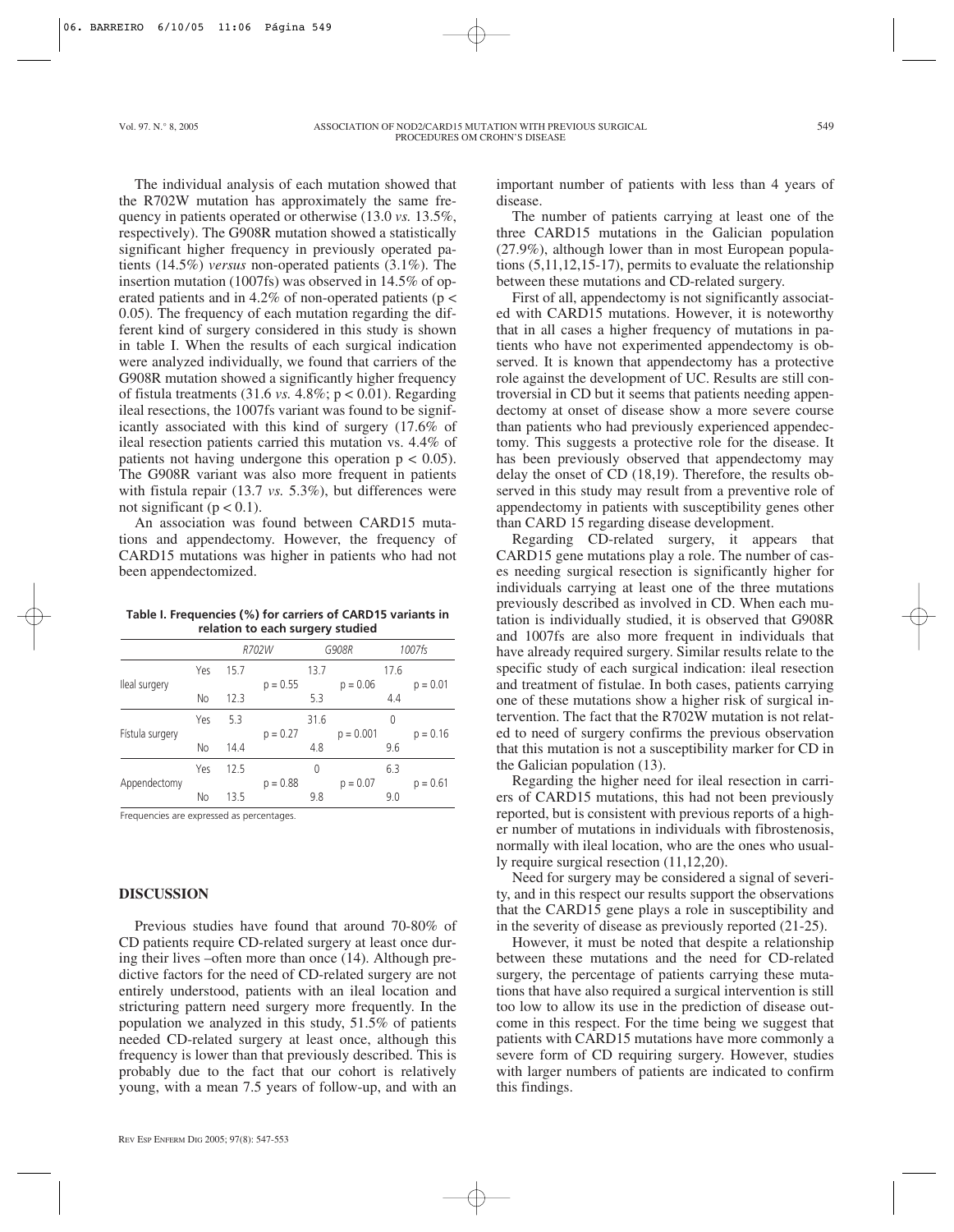The individual analysis of each mutation showed that the R702W mutation has approximately the same frequency in patients operated or otherwise (13.0 *vs.* 13.5%, respectively). The G908R mutation showed a statistically significant higher frequency in previously operated patients (14.5%) *versus* non-operated patients (3.1%). The insertion mutation (1007fs) was observed in 14.5% of operated patients and in 4.2% of non-operated patients (p < 0.05). The frequency of each mutation regarding the different kind of surgery considered in this study is shown in table I. When the results of each surgical indication were analyzed individually, we found that carriers of the G908R mutation showed a significantly higher frequency of fistula treatments (31.6 *vs.* 4.8%; p < 0.01). Regarding ileal resections, the 1007fs variant was found to be significantly associated with this kind of surgery (17.6% of ileal resection patients carried this mutation vs. 4.4% of patients not having undergone this operation  $p < 0.05$ ). The G908R variant was also more frequent in patients with fistula repair (13.7 *vs.* 5.3%), but differences were not significant ( $p < 0.1$ ).

An association was found between CARD15 mutations and appendectomy. However, the frequency of CARD15 mutations was higher in patients who had not been appendectomized.

**Table I. Frequencies (%) for carriers of CARD15 variants in relation to each surgery studied**

|                 |     | R702W |            | G908R |             | 1007fs |            |
|-----------------|-----|-------|------------|-------|-------------|--------|------------|
| Ileal surgery   | Yes | 15.7  | $p = 0.55$ | 13.7  | $p = 0.06$  | 17.6   | $p = 0.01$ |
|                 | No  | 12.3  |            | 5.3   |             | 4.4    |            |
| Fístula surgery | Yes | 5.3   |            | 31.6  |             | 0      |            |
|                 |     |       | $p = 0.27$ |       | $p = 0.001$ |        | $p = 0.16$ |
|                 | No  | 14.4  |            | 4.8   |             | 9.6    |            |
| Appendectomy    | Yes | 12.5  |            | 0     |             | 6.3    |            |
|                 |     |       | $p = 0.88$ |       | $p = 0.07$  |        | $p = 0.61$ |
|                 | No  | 13.5  |            | 9.8   |             | 9.0    |            |
|                 |     |       |            |       |             |        |            |

Frequencies are expressed as percentages.

## **DISCUSSION**

Previous studies have found that around 70-80% of CD patients require CD-related surgery at least once during their lives –often more than once (14). Although predictive factors for the need of CD-related surgery are not entirely understood, patients with an ileal location and stricturing pattern need surgery more frequently. In the population we analyzed in this study, 51.5% of patients needed CD-related surgery at least once, although this frequency is lower than that previously described. This is probably due to the fact that our cohort is relatively young, with a mean 7.5 years of follow-up, and with an

important number of patients with less than 4 years of disease.

The number of patients carrying at least one of the three CARD15 mutations in the Galician population (27.9%), although lower than in most European populations (5,11,12,15-17), permits to evaluate the relationship between these mutations and CD-related surgery.

First of all, appendectomy is not significantly associated with CARD15 mutations. However, it is noteworthy that in all cases a higher frequency of mutations in patients who have not experimented appendectomy is observed. It is known that appendectomy has a protective role against the development of UC. Results are still controversial in CD but it seems that patients needing appendectomy at onset of disease show a more severe course than patients who had previously experienced appendectomy. This suggests a protective role for the disease. It has been previously observed that appendectomy may delay the onset of CD (18,19). Therefore, the results observed in this study may result from a preventive role of appendectomy in patients with susceptibility genes other than CARD 15 regarding disease development.

Regarding CD-related surgery, it appears that CARD15 gene mutations play a role. The number of cases needing surgical resection is significantly higher for individuals carrying at least one of the three mutations previously described as involved in CD. When each mutation is individually studied, it is observed that G908R and 1007fs are also more frequent in individuals that have already required surgery. Similar results relate to the specific study of each surgical indication: ileal resection and treatment of fistulae. In both cases, patients carrying one of these mutations show a higher risk of surgical intervention. The fact that the R702W mutation is not related to need of surgery confirms the previous observation that this mutation is not a susceptibility marker for CD in the Galician population (13).

Regarding the higher need for ileal resection in carriers of CARD15 mutations, this had not been previously reported, but is consistent with previous reports of a higher number of mutations in individuals with fibrostenosis, normally with ileal location, who are the ones who usually require surgical resection (11,12,20).

Need for surgery may be considered a signal of severity, and in this respect our results support the observations that the CARD15 gene plays a role in susceptibility and in the severity of disease as previously reported (21-25).

However, it must be noted that despite a relationship between these mutations and the need for CD-related surgery, the percentage of patients carrying these mutations that have also required a surgical intervention is still too low to allow its use in the prediction of disease outcome in this respect. For the time being we suggest that patients with CARD15 mutations have more commonly a severe form of CD requiring surgery. However, studies with larger numbers of patients are indicated to confirm this findings.